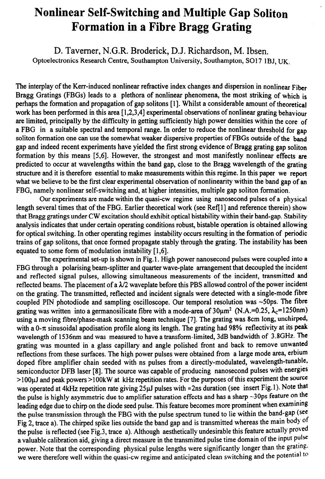## Nonlinear Self-Switching and Multiple Gap Soliton Formation in a Fibre Bragg Grating

D. Taverner, N.G.R. Broderick, D.J. Richardson, M. Ibsen. Optoelectronics Research Centre, Southampton University, Southampton, SO17 1BJ, UK.

The interplay of the Kerr-induced nonlinear refractive index changes and dispersion in nonlinear Fiber Bragg Gratings (FBGs) leads to a plethora of nonlinear phenomena, the most striking of which is perhaps the formation and propagation of gap solitons [ 11. Whilst a considerable amount of theoretical work has been performed in this area [ 1,2,3,4] experimental observations of nonlinear grating behaviour are limited, principally by the difficulty in getting sufficiently high power densities within the core of a FBG in a suitable spectral and temporal range. In order to reduce the nonlinear threshold for gap soliton formation one can use the somewhat weaker dispersive properties of FBGs outside of the band gap and indeed recent experiments have yielded the first strong evidence of Bragg grating gap soliton formation by this means [5,6]. However, the strongest and most manifestly nonlinear effects are predicted to occur at wavelengths within the band gap, close to the Bragg wavelength of the grating structure and it is therefore essential to make measurements within this regime. In this paper we report what we believe to be the first clear experimental observation of nonlinearity within the band gap of an FBG, namely nonlinear self-switching and, at higher intensities, multiple gap soliton formation.

Our experiments are made within the quasi-cw regime using nanosecond pulses of a physical length several times that of the FBG. Earlier theoretical work (see Ref[1] and reference therein) show that Bragg gratings under CW excitation should exhibit optical bistability within their band-gap. Stability analysis indicates that under certain operating conditions robust, bistable operation is obtained allowing for optical switching. In other operating regimes instability occurs resulting in the formation of periodic trains of gap solitons, that once formed propagate stably through the grating. The instability has been equated to some form of modulation instability [ 1,6].

The experimental set-up is shown in Fig. 1. High power nanosecond pulses were coupled into a FBG through a polarising beam-splitter and quarter wave-plate arrangement that decoupled the incident and reflected signal pulses, allowing simultaneous measurements of the incident, transmitted and reflected beams. The placement of a  $\lambda/2$  waveplate before this PBS allowed control of the power incident on the grating. The transmitted, reflected and incident signals were detected with a single-mode fibre coupled PIN photodiode and sampling oscilloscope. Our temporal resolution was  $\sim$ 50ps. The fibre grating was written into a germanosilicate fibre with a mode-area of  $30\mu m^2$  (N.A.=0.25,  $\lambda_c$ =1250nm) using a moving fibre/phase-mask scanning beam technique [7]. The grating was 8cm long, unchirped, with a 0- $\pi$  sinusoidal apodisation profile along its length. The grating had 98% reflectivity at its peak wavelength of 1536nm and was measured to have a transform-limited, 3dB bandwidth of 3.8GHz. The grating was mounted in a glass capillary and angle polished front and back to remove unwanted reflections from these surfaces. The high power pulses were obtained from a large mode area, erbium doped fibre amplifier chain seeded with ns pulses from a directly-modulated, wavelength-tunable, semiconductor DFB laser [8]. The source was capable of producing nanosecond pulses with energies ~1 OOpJ and peak powers >l OOkW at kHz repetition rates. For the purposes of this experiment the source was operated at 4kHz repetition rate giving  $25\mu$ J pulses with  $\approx$  2ns duration (see insert Fig. 1). Note that the pulse is highly asymmetric due to amplifier saturation effects and has a sharp  $\sim$ 30ps feature on the leading edge due to chirp on the diode seed pulse. This feature becomes more prominent when examining the pulse transmission through the FBG with the pulse spectrum tuned to lie within the band-gap (see Fig 2, trace a). The chirped spike lies outside the band gap and is transmitted whereas the main body of the pulse is reflected (see Fig.3, trace a). Although aesthetically undesirable this feature actually proved a valuable calibration aid, giving a direct measure in the transmitted pulse time domain of the input pulse power. Note that the corresponding physical pulse lengths were significantly longer than the grating. we were therefore well within the quasi-cw regime and anticipated clean switching and the potential to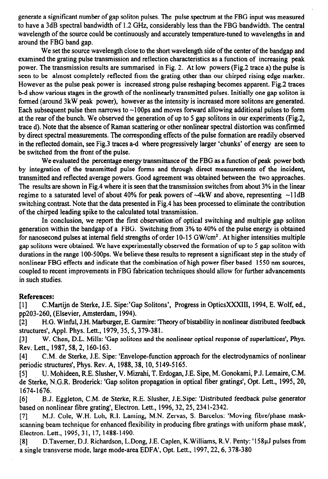generate a significant number of gap soliton pulses. The pulse spectrum at the FBG input was measured to have a 3dB spectral bandwidth of 1.2 GHz, considerably less than the FBG bandwidth. The central wavelength of the source could be continuously and accurately temperature-tuned to wavelengths in and around the FBG band gap.

We set the source wavelength close to the short wavelength side of the center of the bandgap and examined the grating pulse transmission and reflection characteristics as a function of increasing peak power. The transmission results are summarised in Fig. 2. At low powers (Fig.2 trace a) the pulse is seen to be almost completely reflected from the grating other than our chirped rising edge marker. However as the pulse peak power is increased strong pulse reshaping becomes apparent. Fig.2 traces b-d show various stages in the growth of the nonlinearly transmitted pulses. Initially one gap soliton is formed (around 3kW peak power), however as the intensity is increased more solitons are generated. Each subsequent pulse then narrows to  $\sim$ 100 ps and moves forward allowing additional pulses to form at the rear of the bunch. We observed the generation of up to 5 gap solitons in our experiments (Fig.2, trace d). Note that the absence of Raman scattering or other nonlinear spectral distortion was confirmed by direct spectral measurements. The corresponding effects of the pube formation are readily observed in the reflected domain, see Fig.3 traces a-d where progressively larger 'chunks' of energy are seen to be switched from the front of the pulse.

We evaluated the percentage energy transmittance of the FBG as a function of peak power both by integration of the transmitted pulse forms and through direct measurements of the incident, transmitted and reflected average powers. Good agreement was obtained between the two approaches. The results are shown in Fig.4 where it is seen that the transmission switches from about 3% in the linear regime to a saturated level of about 40% for peak powers of  $-4kW$  and above, representing  $-11dB$ switching contrast. Note that the data presented in Fig.4 has been processed to eliminate the contribution of the chirped leading spike to the calculated total transmission.

In conclusion, we report the first observation of optical switching and multiple gap soliton generation within the bandgap of a FBG. Switching from 3% to 40% of the pulse energy is obtained for nanosecond pulses at internal field strengths of order 10-15 GW/cm<sup>2</sup>. At higher intensities multiple gap solitons were obtained. We have experimentally observed the formation of up to 5 gap soliton with durations in the range 100-500ps. We believe these results to represent a significant step in the study of nonlinear FBG effects and indicate that the combination of high power fiber based 1550 nm sources, coupled to recent improvements in FBG fabrication techniques should allow for further advancements in such studies.

## References:

[1] C.Martijn de Sterke, J.E. Sipe:'Gap Solitons', Progress in OpticsXXXIII, 1994, E. Wolf, ed., pp203-260, (Elsevier, Amsterdam, 1994).

PI H.G. Winful, J.H. Marburger, E. Garmire: 'Theory of bistability in nonlinear distributed feedback structures', Appl. Phys. Lett., 1979,35,5,379-381.

[31 W. Chen, D.L. Mills: 'Gap solitons and the nonlinear optical response of superlattices', Phys. Rev. Lett., 1987,58,2, 160-163.

[41 C.M. de Sterke, J.E. Sipe: 'Envelope-function approach for the electrodynamics of nonlinear periodic structures', Phys. Rev. A, 1988,38, 10,5149-5165.

[51 U. Mohideen, R.E. Slusher, V. Mizrahi, T. Erdogan, J.E. Sipe, M. Gonokami, P.J. Lemaire, C.M. de Sterke, N.G.R. Broderick: 'Gap soliton propagation in optical fiber gratings', Opt. Lett., 1995, 20, 1674-1676.

161 B.J. Eggleton, C.M. de Sterke, R.E. Slusher, J.E.Sipe: 'Distributed feedback pulse generator based on nonlinear fibre grating', Electron. Lett., 1996, 32, 25, 2341-2342.

[7] M.J. Cole, W.H. Loh, R.I. Laming, M.N. Zervas, S. Barcelos: 'Moving fibre/phase maskscanning beam technique for enhanced flexibility in producing fibre gratings with uniform phase mask', Electron. Lett., 1995,31, 17, 1488-1490.

PI D.Tavemer, D.J. Richardson, L.Dong, J.E. Caplen, K.Williams, R.V. Penty: '158pJ pulses from a single transverse mode, large mode-area EDFA', Opt. Lett., 1997,22,6,378-380